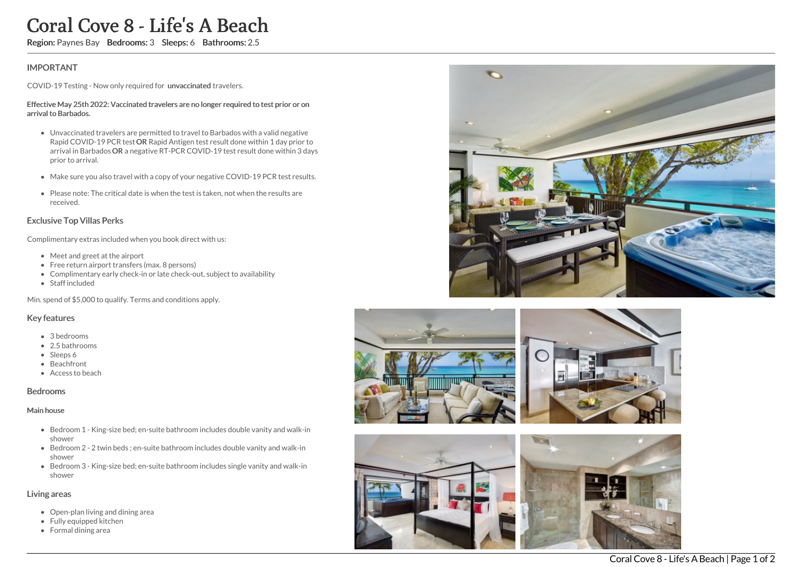# Coral Cove 8 - Life 's A Beach

Region: Paynes Bay Bedrooms: 3 Sleeps: 6 Bathrooms: 2.5

# IMPORTANT

COVID-19 Testing - Now only required for unvaccinated travelers.

#### Effective May 25th 2022: Vaccinated travelers are no longer required to test prior or on arrival to Barbados.

- Unvaccinated travelers are permitted to travel to Barbados with a valid negative Rapid COVID-19 PCR test OR Rapid Antigen test result done within 1 day prior to arrival in Barbados OR a negative RT-PCR COVID-19 test result done within 3 days prior to arrival.
- Make sure you also travel with a copy of your negative COVID-19 PCR test results.
- Please note: The critical date is when the test is taken, not when the results are received.

## Exclusive Top Villas Perks

Complimentary extras included when you book direct with us:

- Meet and greet at the airport
- Free return airport transfers (max. 8 persons)
- Complimentary early check-in or late check-out, subject to availability
- Staff included

Min. spend of \$5,000 to qualify. Terms and conditions apply.

## Key features

- 3 bedrooms
- 2.5 bathrooms
- Sleeps 6
- Beachfront
- Access to beach

### Bedrooms

#### Main house

- Bedroom 1 King-size bed; en-suite bathroom includes double vanity and walk-in shower
- Bedroom 2 2 twin beds ; en-suite bathroom includes double vanity and walk-in shower
- Bedroom 3 King-size bed; en-suite bathroom includes single vanity and walk-in shower

## Living areas

- Open-plan living and dining area
- Fully equipped kitchen
- Formal dining area